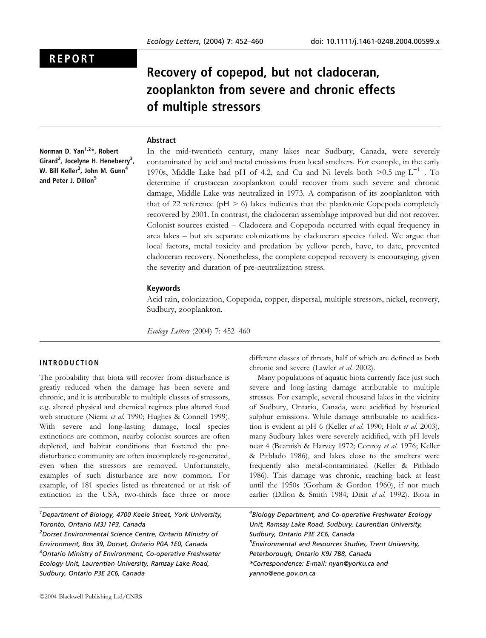# REPORT

# Recovery of copepod, but not cladoceran, zooplankton from severe and chronic effects of multiple stressors

#### **Abstract**

Norman D. Yan<sup>1,2\*</sup>, Robert Girard<sup>2</sup>, Jocelyne H. Heneberry<sup>3</sup>, W. Bill Keller $^3$ , John M. Gunn $^4$ and Peter J. Dillon<sup>5</sup>

In the mid-twentieth century, many lakes near Sudbury, Canada, were severely contaminated by acid and metal emissions from local smelters. For example, in the early 1970s, Middle Lake had pH of 4.2, and Cu and Ni levels both  $>0.5$  mg L<sup>-1</sup>. To determine if crustacean zooplankton could recover from such severe and chronic damage, Middle Lake was neutralized in 1973. A comparison of its zooplankton with that of 22 reference ( $pH > 6$ ) lakes indicates that the planktonic Copepoda completely recovered by 2001. In contrast, the cladoceran assemblage improved but did not recover. Colonist sources existed – Cladocera and Copepoda occurred with equal frequency in area lakes – but six separate colonizations by cladoceran species failed. We argue that local factors, metal toxicity and predation by yellow perch, have, to date, prevented cladoceran recovery. Nonetheless, the complete copepod recovery is encouraging, given the severity and duration of pre-neutralization stress.

#### Keywords

Acid rain, colonization, Copepoda, copper, dispersal, multiple stressors, nickel, recovery, Sudbury, zooplankton.

Ecology Letters (2004) 7: 452–460

#### INTRODUCTION

The probability that biota will recover from disturbance is greatly reduced when the damage has been severe and chronic, and it is attributable to multiple classes of stressors, e.g. altered physical and chemical regimes plus altered food web structure (Niemi et al. 1990; Hughes & Connell 1999). With severe and long-lasting damage, local species extinctions are common, nearby colonist sources are often depleted, and habitat conditions that fostered the predisturbance community are often incompletely re-generated, even when the stressors are removed. Unfortunately, examples of such disturbance are now common. For example, of 181 species listed as threatened or at risk of extinction in the USA, two-thirds face three or more

<sup>1</sup>Department of Biology, 4700 Keele Street, York University, Toronto, Ontario M3J 1P3, Canada

2 Dorset Environmental Science Centre, Ontario Ministry of Environment, Box 39, Dorset, Ontario P0A 1E0, Canada <sup>3</sup>Ontario Ministry of Environment, Co-operative Freshwater Ecology Unit, Laurentian University, Ramsay Lake Road, Sudbury, Ontario P3E 2C6, Canada

different classes of threats, half of which are defined as both chronic and severe (Lawler et al. 2002).

Many populations of aquatic biota currently face just such severe and long-lasting damage attributable to multiple stresses. For example, several thousand lakes in the vicinity of Sudbury, Ontario, Canada, were acidified by historical sulphur emissions. While damage attributable to acidification is evident at pH 6 (Keller et al. 1990; Holt et al. 2003), many Sudbury lakes were severely acidified, with pH levels near 4 (Beamish & Harvey 1972; Conroy et al. 1976; Keller & Pitblado 1986), and lakes close to the smelters were frequently also metal-contaminated (Keller & Pitblado 1986). This damage was chronic, reaching back at least until the 1950s (Gorham & Gordon 1960), if not much earlier (Dillon & Smith 1984; Dixit et al. 1992). Biota in

<sup>4</sup> Biology Department, and Co-operative Freshwater Ecology Unit, Ramsay Lake Road, Sudbury, Laurentian University, Sudbury, Ontario P3E 2C6, Canada 5 Environmental and Resources Studies, Trent University, Peterborough, Ontario K9J 7B8, Canada \*Correspondence: E-mail: nyan@yorku.ca and yanno@ene.gov.on.ca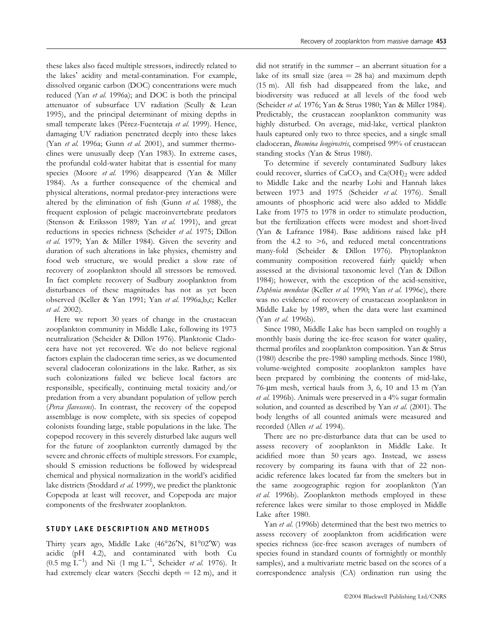these lakes also faced multiple stressors, indirectly related to the lakes' acidity and metal-contamination. For example, dissolved organic carbon (DOC) concentrations were much reduced (Yan et al. 1996a); and DOC is both the principal attenuator of subsurface UV radiation (Scully & Lean 1995), and the principal determinant of mixing depths in small temperate lakes (Pérez-Fuentetaja et al. 1999). Hence, damaging UV radiation penetrated deeply into these lakes (Yan et al. 1996a; Gunn et al. 2001), and summer thermoclines were unusually deep (Yan 1983). In extreme cases, the profundal cold-water habitat that is essential for many species (Moore et al. 1996) disappeared (Yan & Miller 1984). As a further consequence of the chemical and physical alterations, normal predator-prey interactions were altered by the elimination of fish (Gunn et al. 1988), the frequent explosion of pelagic macroinvertebrate predators (Stenson & Eriksson 1989; Yan et al. 1991), and great reductions in species richness (Scheider et al. 1975; Dillon et al. 1979; Yan & Miller 1984). Given the severity and duration of such alterations in lake physics, chemistry and food web structure, we would predict a slow rate of recovery of zooplankton should all stressors be removed. In fact complete recovery of Sudbury zooplankton from disturbances of these magnitudes has not as yet been observed (Keller & Yan 1991; Yan et al. 1996a,b,c; Keller et al. 2002).

Here we report 30 years of change in the crustacean zooplankton community in Middle Lake, following its 1973 neutralization (Scheider & Dillon 1976). Planktonic Cladocera have not yet recovered. We do not believe regional factors explain the cladoceran time series, as we documented several cladoceran colonizations in the lake. Rather, as six such colonizations failed we believe local factors are responsible, specifically, continuing metal toxicity and/or predation from a very abundant population of yellow perch (Perca flavescens). In contrast, the recovery of the copepod assemblage is now complete, with six species of copepod colonists founding large, stable populations in the lake. The copepod recovery in this severely disturbed lake augurs well for the future of zooplankton currently damaged by the severe and chronic effects of multiple stressors. For example, should S emission reductions be followed by widespread chemical and physical normalization in the world's acidified lake districts (Stoddard et al. 1999), we predict the planktonic Copepoda at least will recover, and Copepoda are major components of the freshwater zooplankton.

## STUDY LAKE DESCRIPTION AND METHODS

Thirty years ago, Middle Lake (46°26'N, 81°02'W) was acidic (pH 4.2), and contaminated with both Cu  $(0.5 \text{ mg L}^{-1})$  and Ni  $(1 \text{ mg L}^{-1})$ , Scheider et al. 1976). It had extremely clear waters (Secchi depth  $= 12$  m), and it did not stratify in the summer – an aberrant situation for a lake of its small size (area  $= 28$  ha) and maximum depth (15 m). All fish had disappeared from the lake, and biodiversity was reduced at all levels of the food web (Scheider et al. 1976; Yan & Strus 1980; Yan & Miller 1984). Predictably, the crustacean zooplankton community was highly disturbed. On average, mid-lake, vertical plankton hauls captured only two to three species, and a single small cladoceran, Bosmina longirostris, comprised 99% of crustacean standing stocks (Yan & Strus 1980).

To determine if severely contaminated Sudbury lakes could recover, slurries of  $CaCO<sub>3</sub>$  and  $Ca(OH)<sub>2</sub>$  were added to Middle Lake and the nearby Lohi and Hannah lakes between 1973 and 1975 (Scheider et al. 1976). Small amounts of phosphoric acid were also added to Middle Lake from 1975 to 1978 in order to stimulate production, but the fertilization effects were modest and short-lived (Yan & Lafrance 1984). Base additions raised lake pH from the 4.2 to  $>6$ , and reduced metal concentrations many-fold (Scheider & Dillon 1976). Phytoplankton community composition recovered fairly quickly when assessed at the divisional taxonomic level (Yan & Dillon 1984); however, with the exception of the acid-sensitive, Daphnia mendotae (Keller et al. 1990; Yan et al. 1996c), there was no evidence of recovery of crustacean zooplankton in Middle Lake by 1989, when the data were last examined (Yan et al. 1996b).

Since 1980, Middle Lake has been sampled on roughly a monthly basis during the ice-free season for water quality, thermal profiles and zooplankton composition. Yan & Strus (1980) describe the pre-1980 sampling methods. Since 1980, volume-weighted composite zooplankton samples have been prepared by combining the contents of mid-lake, 76-lm mesh, vertical hauls from 3, 6, 10 and 13 m (Yan et al. 1996b). Animals were preserved in a 4% sugar formalin solution, and counted as described by Yan et al. (2001). The body lengths of all counted animals were measured and recorded (Allen et al. 1994).

There are no pre-disturbance data that can be used to assess recovery of zooplankton in Middle Lake. It acidified more than 50 years ago. Instead, we assess recovery by comparing its fauna with that of 22 nonacidic reference lakes located far from the smelters but in the same zoogeographic region for zooplankton (Yan et al. 1996b). Zooplankton methods employed in these reference lakes were similar to those employed in Middle Lake after 1980.

Yan et al. (1996b) determined that the best two metrics to assess recovery of zooplankton from acidification were species richness (ice-free season averages of numbers of species found in standard counts of fortnightly or monthly samples), and a multivariate metric based on the scores of a correspondence analysis (CA) ordination run using the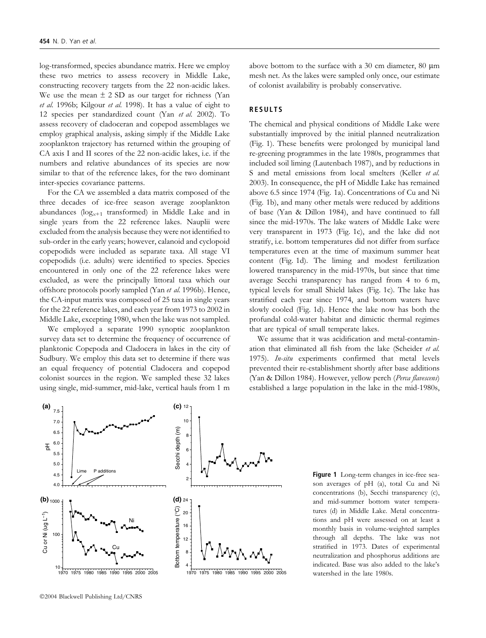log-transformed, species abundance matrix. Here we employ these two metrics to assess recovery in Middle Lake, constructing recovery targets from the 22 non-acidic lakes. We use the mean  $\pm$  2 SD as our target for richness (Yan et al. 1996b; Kilgour et al. 1998). It has a value of eight to 12 species per standardized count (Yan et al. 2002). To assess recovery of cladoceran and copepod assemblages we employ graphical analysis, asking simply if the Middle Lake zooplankton trajectory has returned within the grouping of CA axis I and II scores of the 22 non-acidic lakes, i.e. if the numbers and relative abundances of its species are now similar to that of the reference lakes, for the two dominant inter-species covariance patterns.

For the CA we assembled a data matrix composed of the three decades of ice-free season average zooplankton abundances ( $log_{x+1}$  transformed) in Middle Lake and in single years from the 22 reference lakes. Nauplii were excluded from the analysis because they were not identified to sub-order in the early years; however, calanoid and cyclopoid copepodids were included as separate taxa. All stage VI copepodids (i.e. adults) were identified to species. Species encountered in only one of the 22 reference lakes were excluded, as were the principally littoral taxa which our offshore protocols poorly sampled (Yan et al. 1996b). Hence, the CA-input matrix was composed of 25 taxa in single years for the 22 reference lakes, and each year from 1973 to 2002 in Middle Lake, excepting 1980, when the lake was not sampled.

We employed a separate 1990 synoptic zooplankton survey data set to determine the frequency of occurrence of planktonic Copepoda and Cladocera in lakes in the city of Sudbury. We employ this data set to determine if there was an equal frequency of potential Cladocera and copepod colonist sources in the region. We sampled these 32 lakes using single, mid-summer, mid-lake, vertical hauls from 1 m

above bottom to the surface with a 30 cm diameter,  $80 \mu m$ mesh net. As the lakes were sampled only once, our estimate of colonist availability is probably conservative.

# RESULTS

The chemical and physical conditions of Middle Lake were substantially improved by the initial planned neutralization (Fig. 1). These benefits were prolonged by municipal land re-greening programmes in the late 1980s, programmes that included soil liming (Lautenbach 1987), and by reductions in S and metal emissions from local smelters (Keller et al. 2003). In consequence, the pH of Middle Lake has remained above 6.5 since 1974 (Fig. 1a). Concentrations of Cu and Ni (Fig. 1b), and many other metals were reduced by additions of base (Yan & Dillon 1984), and have continued to fall since the mid-1970s. The lake waters of Middle Lake were very transparent in 1973 (Fig. 1c), and the lake did not stratify, i.e. bottom temperatures did not differ from surface temperatures even at the time of maximum summer heat content (Fig. 1d). The liming and modest fertilization lowered transparency in the mid-1970s, but since that time average Secchi transparency has ranged from 4 to 6 m, typical levels for small Shield lakes (Fig. 1c). The lake has stratified each year since 1974, and bottom waters have slowly cooled (Fig. 1d). Hence the lake now has both the profundal cold-water habitat and dimictic thermal regimes that are typical of small temperate lakes.

We assume that it was acidification and metal-contamination that eliminated all fish from the lake (Scheider et al. 1975). In-situ experiments confirmed that metal levels prevented their re-establishment shortly after base additions (Yan & Dillon 1984). However, yellow perch (Perca flavescens) established a large population in the lake in the mid-1980s,



Figure 1 Long-term changes in ice-free season averages of pH (a), total Cu and Ni concentrations (b), Secchi transparency (c), and mid-summer bottom water temperatures (d) in Middle Lake. Metal concentrations and pH were assessed on at least a monthly basis in volume-weighted samples through all depths. The lake was not stratified in 1973. Dates of experimental neutralization and phosphorus additions are indicated. Base was also added to the lake's watershed in the late 1980s.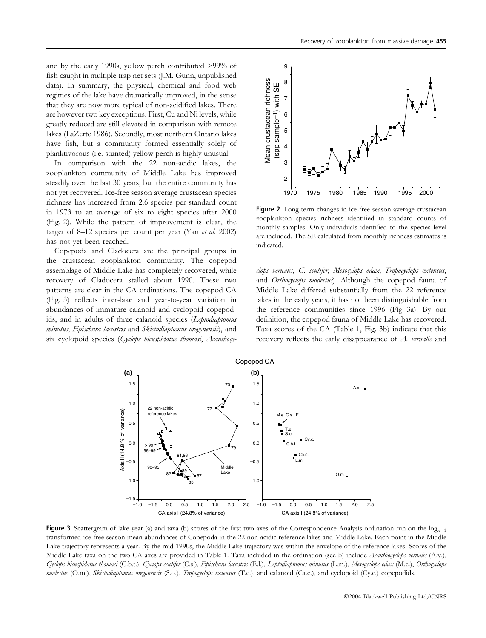and by the early 1990s, yellow perch contributed >99% of fish caught in multiple trap net sets (J.M. Gunn, unpublished data). In summary, the physical, chemical and food web regimes of the lake have dramatically improved, in the sense that they are now more typical of non-acidified lakes. There are however two key exceptions. First, Cu and Ni levels, while greatly reduced are still elevated in comparison with remote lakes (LaZerte 1986). Secondly, most northern Ontario lakes have fish, but a community formed essentially solely of planktivorous (i.e. stunted) yellow perch is highly unusual.

In comparison with the 22 non-acidic lakes, the zooplankton community of Middle Lake has improved steadily over the last 30 years, but the entire community has not yet recovered. Ice-free season average crustacean species richness has increased from 2.6 species per standard count in 1973 to an average of six to eight species after 2000 (Fig. 2). While the pattern of improvement is clear, the target of 8–12 species per count per year (Yan et al. 2002) has not yet been reached.

Copepoda and Cladocera are the principal groups in the crustacean zooplankton community. The copepod assemblage of Middle Lake has completely recovered, while recovery of Cladocera stalled about 1990. These two patterns are clear in the CA ordinations. The copepod CA (Fig. 3) reflects inter-lake and year-to-year variation in abundances of immature calanoid and cyclopoid copepodids, and in adults of three calanoid species (Leptodiaptomus minutus, Epischura lacustris and Skistodiaptomus oregonensis), and six cyclopoid species (Cyclops bicuspidatus thomasi, Acanthocy-



Figure 2 Long-term changes in ice-free season average crustacean zooplankton species richness identified in standard counts of monthly samples. Only individuals identified to the species level are included. The SE calculated from monthly richness estimates is indicated.

clops vernalis, C. scutifer, Mesocylops edax, Tropocyclops extensus, and Orthocyclops modestus). Although the copepod fauna of Middle Lake differed substantially from the 22 reference lakes in the early years, it has not been distinguishable from the reference communities since 1996 (Fig. 3a). By our definition, the copepod fauna of Middle Lake has recovered. Taxa scores of the CA (Table 1, Fig. 3b) indicate that this recovery reflects the early disappearance of A. vernalis and



**Figure 3** Scattergram of lake-year (a) and taxa (b) scores of the first two axes of the Correspondence Analysis ordination run on the  $log_{x+1}$ transformed ice-free season mean abundances of Copepoda in the 22 non-acidic reference lakes and Middle Lake. Each point in the Middle Lake trajectory represents a year. By the mid-1990s, the Middle Lake trajectory was within the envelope of the reference lakes. Scores of the Middle Lake taxa on the two CA axes are provided in Table 1. Taxa included in the ordination (see b) include Acanthocyclops vernalis (A.v.), Cyclops bicuspidatus thomasi (C.b.t.), Cyclops scutifer (C.s.), Epischura lacustris (E.l.), Leptodiaptomus minutus (L.m.), Mesocyclops edax (M.e.), Orthocyclops modestus (O.m.), Skistodiaptomus oregonensis (S.o.), Tropocyclops extensus (T.e.), and calanoid (Ca.c.), and cyclopoid (Cy.c.) copepodids.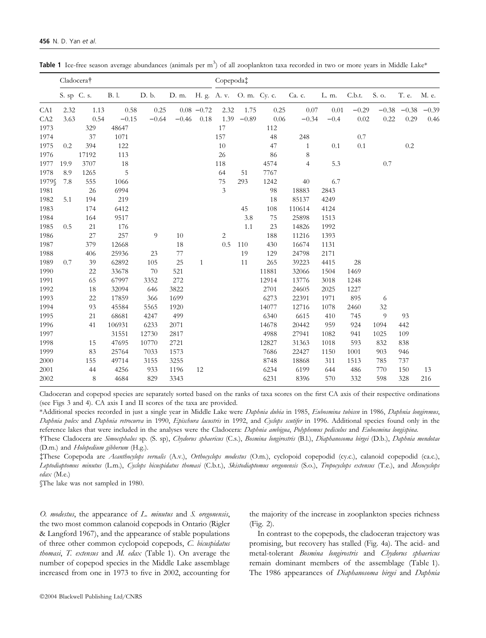|                 | Cladocera <sup>†</sup> |             |         |         |                                |               |                | Copepoda‡ |          |                |        |         |         |               |         |  |  |
|-----------------|------------------------|-------------|---------|---------|--------------------------------|---------------|----------------|-----------|----------|----------------|--------|---------|---------|---------------|---------|--|--|
|                 | S. sp C. s.            |             | B. l.   | D. b.   | D. m. H. g. A. v. O. m. Cy. c. |               |                |           |          | Ca. c.         | L. m.  | C.b.t.  | S. o.   | T. e.         | M. e.   |  |  |
| CA <sub>1</sub> | 2.32                   | 1.13        | 0.58    | 0.25    |                                | $0.08 - 0.72$ | 2.32           | 1.75      | 0.25     | $0.07\,$       | 0.01   | $-0.29$ |         | $-0.38 -0.38$ | $-0.39$ |  |  |
| CA <sub>2</sub> | 3.63                   | 0.54        | $-0.15$ | $-0.64$ | $-0.46$                        | 0.18          | 1.39           | $-0.89$   | $0.06\,$ | $-0.34$        | $-0.4$ | 0.02    | 0.22    | 0.29          | 0.46    |  |  |
| 1973            |                        | 329         | 48647   |         |                                |               | 17             |           | 112      |                |        |         |         |               |         |  |  |
| 1974            |                        | 37          | 1071    |         |                                |               | 157            |           | 48       | 248            |        | 0.7     |         |               |         |  |  |
| 1975            | 0.2                    | 394         | 122     |         |                                |               | 10             |           | 47       | $\mathbf{1}$   | 0.1    | 0.1     |         | 0.2           |         |  |  |
| 1976            |                        | 17192       | 113     |         |                                |               | 26             |           | 86       | 8              |        |         |         |               |         |  |  |
| 1977            | 19.9                   | 3707        | 18      |         |                                |               | 118            |           | 4574     | $\overline{4}$ | 5.3    |         | $0.7\,$ |               |         |  |  |
| 1978            | 8.9                    | 1265        | 5       |         |                                |               | 64             | 51        | 7767     |                |        |         |         |               |         |  |  |
| 1979§           | 7.8                    | 555         | 1066    |         |                                |               | $75\,$         | 293       | 1242     | 40             | 6.7    |         |         |               |         |  |  |
| 1981            |                        | 26          | 6994    |         |                                |               | $\mathfrak{Z}$ |           | 98       | 18883          | 2843   |         |         |               |         |  |  |
| 1982            | 5.1                    | 194         | 219     |         |                                |               |                |           | 18       | 85137          | 4249   |         |         |               |         |  |  |
| 1983            |                        | 174         | 6412    |         |                                |               |                | 45        | 108      | 110614         | 4124   |         |         |               |         |  |  |
| 1984            |                        | 164         | 9517    |         |                                |               |                | 3.8       | 75       | 25898          | 1513   |         |         |               |         |  |  |
| 1985            | 0.5                    | 21          | 176     |         |                                |               |                | 1.1       | 23       | 14826          | 1992   |         |         |               |         |  |  |
| 1986            |                        | 27          | 257     | 9       | 10                             |               | $\overline{2}$ |           | 188      | 11216          | 1393   |         |         |               |         |  |  |
| 1987            |                        | 379         | 12668   |         | 18                             |               | 0.5            | 110       | 430      | 16674          | 1131   |         |         |               |         |  |  |
| 1988            |                        | 406         | 25936   | 23      | $77 \,$                        |               |                | 19        | 129      | 24798          | 2171   |         |         |               |         |  |  |
| 1989            | 0.7                    | 39          | 62892   | 105     | 25                             | $\mathbf{1}$  |                | 11        | 265      | 39223          | 4415   | 28      |         |               |         |  |  |
| 1990            |                        | 22          | 33678   | 70      | 521                            |               |                |           | 11881    | 32066          | 1504   | 1469    |         |               |         |  |  |
| 1991            |                        | 65          | 67997   | 3352    | 272                            |               |                |           | 12914    | 13776          | 3018   | 1248    |         |               |         |  |  |
| 1992            |                        | 18          | 32094   | 646     | 3822                           |               |                |           | 2701     | 24605          | 2025   | 1227    |         |               |         |  |  |
| 1993            |                        | 22          | 17859   | 366     | 1699                           |               |                |           | 6273     | 22391          | 1971   | 895     | 6       |               |         |  |  |
| 1994            |                        | 93          | 45584   | 5565    | 1920                           |               |                |           | 14077    | 12716          | 1078   | 2460    | $32\,$  |               |         |  |  |
| 1995            |                        | 21          | 68681   | 4247    | 499                            |               |                |           | 6340     | 6615           | 410    | 745     | 9       | 93            |         |  |  |
| 1996            |                        | 41          | 106931  | 6233    | 2071                           |               |                |           | 14678    | 20442          | 959    | 924     | 1094    | 442           |         |  |  |
| 1997            |                        |             | 31551   | 12730   | 2817                           |               |                |           | 4988     | 27941          | 1082   | 941     | 1025    | 109           |         |  |  |
| 1998            |                        | 15          | 47695   | 10770   | 2721                           |               |                |           | 12827    | 31363          | 1018   | 593     | 832     | 838           |         |  |  |
| 1999            |                        | 83          | 25764   | 7033    | 1573                           |               |                |           | 7686     | 22427          | 1150   | 1001    | 903     | 946           |         |  |  |
| 2000            |                        | 155         | 49714   | 3155    | 3255                           |               |                |           | 8748     | 18868          | 311    | 1513    | 785     | 737           |         |  |  |
| 2001            |                        | 44          | 4256    | 933     | 1196                           | 12            |                |           | 6234     | 6199           | 644    | 486     | 770     | 150           | 13      |  |  |
| 2002            |                        | $\,$ 8 $\,$ | 4684    | 829     | 3343                           |               |                |           | 6231     | 8396           | 570    | 332     | 598     | 328           | 216     |  |  |

Table 1 Ice-free season average abundances (animals per m<sup>3</sup>) of all zooplankton taxa recorded in two or more years in Middle Lake\*

Cladoceran and copepod species are separately sorted based on the ranks of taxa scores on the first CA axis of their respective ordinations (see Figs 3 and 4). CA axis I and II scores of the taxa are provided.

\*Additional species recorded in just a single year in Middle Lake were Daphnia dubia in 1985, Eubosmina tubicen in 1986, Daphnia longiremus, Daphnia pulex and Daphnia retrocurva in 1990, Epischura lacustris in 1992, and Cyclops scutifer in 1996. Additional species found only in the reference lakes that were included in the analyses were the Cladocera: Daphnia ambigua, Polyphemus pediculus and Eubosmina longispina.

These Cladocera are Simocephalus sp. (S. sp), Chydorus sphaericus (C.s.), Bosmina longirostris (B.l.), Diaphanosoma birgei (D.b.), Daphnia mendotae (D.m.) and Holopedium gibberum (H.g.).

These Copepoda are Acanthocylops vernalis (A.v.), Orthocyclops modestus (O.m.), cyclopoid copepodid (cy.c.), calanoid copepodid (ca.c.), Leptodiaptomus minutus (L.m.), Cyclops bicuspidatus thomasi (C.b.t.), Skistodiaptomus oregonensis (S.o.), Tropocyclops extensus (T.e.), and Mesocyclops edax (M.e.)

§The lake was not sampled in 1980.

O. modestus, the appearance of  $L$ . minutus and  $S$ . oregonensis, the two most common calanoid copepods in Ontario (Rigler & Langford 1967), and the appearance of stable populations of three other common cyclopoid copepods, C. bicuspidatus thomasi, T. extensus and M. edax (Table 1). On average the number of copepod species in the Middle Lake assemblage increased from one in 1973 to five in 2002, accounting for the majority of the increase in zooplankton species richness (Fig. 2).

In contrast to the copepods, the cladoceran trajectory was promising, but recovery has stalled (Fig. 4a). The acid- and metal-tolerant Bosmina longirostris and Chydorus sphaericus remain dominant members of the assemblage (Table 1). The 1986 appearances of Diaphanosoma birgei and Daphnia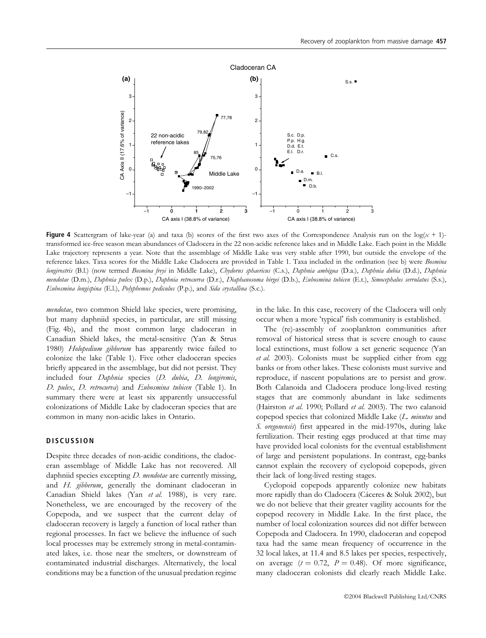

Figure 4 Scattergram of lake-year (a) and taxa (b) scores of the first two axes of the Correspondence Analysis run on the log( $x + 1$ )transformed ice-free season mean abundances of Cladocera in the 22 non-acidic reference lakes and in Middle Lake. Each point in the Middle Lake trajectory represents a year. Note that the assemblage of Middle Lake was very stable after 1990, but outside the envelope of the reference lakes. Taxa scores for the Middle Lake Cladocera are provided in Table 1. Taxa included in the ordination (see b) were *Bosmina* longirostris (B.l.) (now termed Bosmina freyi in Middle Lake), Chydorus sphaericus (C.s.), Daphnia ambigua (D.a.), Daphnia dubia (D.d.), Daphnia mendotae (D.m.), Daphnia pulex (D.p.), Daphnia retrocurva (D.r.), Diaphanosoma birgei (D.b.), Eubosmina tubicen (E.t.), Simocephalus serrulatus (S.s.), Eubosmina longispina (E.l.), Polyphemus pediculus (P.p.), and Sida crystallina (S.c.).

mendotae, two common Shield lake species, were promising, but many daphniid species, in particular, are still missing (Fig. 4b), and the most common large cladoceran in Canadian Shield lakes, the metal-sensitive (Yan & Strus 1980) Holopedium gibberum has apparently twice failed to colonize the lake (Table 1). Five other cladoceran species briefly appeared in the assemblage, but did not persist. They included four Daphnia species (D. dubia, D. longiremis, D. pulex, D. retrocurva) and Eubosmina tubicen (Table 1). In summary there were at least six apparently unsuccessful colonizations of Middle Lake by cladoceran species that are common in many non-acidic lakes in Ontario.

## **DISCUSSION**

Despite three decades of non-acidic conditions, the cladoceran assemblage of Middle Lake has not recovered. All daphniid species excepting  $D$ . mendotae are currently missing, and H. gibberum, generally the dominant cladoceran in Canadian Shield lakes (Yan et al. 1988), is very rare. Nonetheless, we are encouraged by the recovery of the Copepoda, and we suspect that the current delay of cladoceran recovery is largely a function of local rather than regional processes. In fact we believe the influence of such local processes may be extremely strong in metal-contaminated lakes, i.e. those near the smelters, or downstream of contaminated industrial discharges. Alternatively, the local conditions may be a function of the unusual predation regime

in the lake. In this case, recovery of the Cladocera will only occur when a more 'typical' fish community is established.

The (re)-assembly of zooplankton communities after removal of historical stress that is severe enough to cause local extinctions, must follow a set generic sequence (Yan et al. 2003). Colonists must be supplied either from egg banks or from other lakes. These colonists must survive and reproduce, if nascent populations are to persist and grow. Both Calanoida and Cladocera produce long-lived resting stages that are commonly abundant in lake sediments (Hairston et al. 1990; Pollard et al. 2003). The two calanoid copepod species that colonized Middle Lake (L. minutus and S. oregonensis) first appeared in the mid-1970s, during lake fertilization. Their resting eggs produced at that time may have provided local colonists for the eventual establishment of large and persistent populations. In contrast, egg-banks cannot explain the recovery of cyclopoid copepods, given their lack of long-lived resting stages.

Cyclopoid copepods apparently colonize new habitats more rapidly than do Cladocera (Cáceres & Soluk 2002), but we do not believe that their greater vagility accounts for the copepod recovery in Middle Lake. In the first place, the number of local colonization sources did not differ between Copepoda and Cladocera. In 1990, cladoceran and copepod taxa had the same mean frequency of occurrence in the 32 local lakes, at 11.4 and 8.5 lakes per species, respectively, on average  $(t = 0.72, P = 0.48)$ . Of more significance, many cladoceran colonists did clearly reach Middle Lake.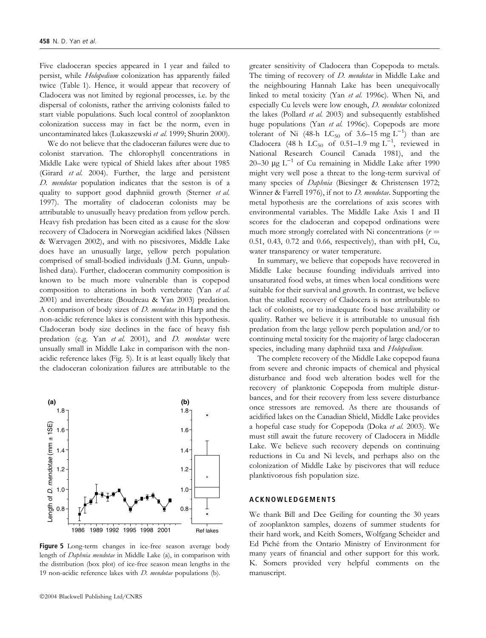Five cladoceran species appeared in 1 year and failed to persist, while Holopedium colonization has apparently failed twice (Table 1). Hence, it would appear that recovery of Cladocera was not limited by regional processes, i.e. by the dispersal of colonists, rather the arriving colonists failed to start viable populations. Such local control of zooplankton colonization success may in fact be the norm, even in uncontaminated lakes (Lukaszewski et al. 1999; Shurin 2000).

We do not believe that the cladoceran failures were due to colonist starvation. The chlorophyll concentrations in Middle Lake were typical of Shield lakes after about 1985 (Girard et al. 2004). Further, the large and persistent D. mendotae population indicates that the seston is of a quality to support good daphniid growth (Sterner et al. 1997). The mortality of cladoceran colonists may be attributable to unusually heavy predation from yellow perch. Heavy fish predation has been cited as a cause for the slow recovery of Cladocera in Norwegian acidified lakes (Nilssen & Wærvagen 2002), and with no piscsivores, Middle Lake does have an unusually large, yellow perch population comprised of small-bodied individuals (J.M. Gunn, unpublished data). Further, cladoceran community composition is known to be much more vulnerable than is copepod composition to alterations in both vertebrate (Yan et al. 2001) and invertebrate (Boudreau & Yan 2003) predation. A comparison of body sizes of D. mendotae in Harp and the non-acidic reference lakes is consistent with this hypothesis. Cladoceran body size declines in the face of heavy fish predation (e.g. Yan et al. 2001), and D. mendotae were unsually small in Middle Lake in comparison with the nonacidic reference lakes (Fig. 5). It is at least equally likely that the cladoceran colonization failures are attributable to the



Figure 5 Long-term changes in ice-free season average body length of Daphnia mendotae in Middle Lake (a), in comparison with the distribution (box plot) of ice-free season mean lengths in the 19 non-acidic reference lakes with  $D$ . mendotae populations (b).

greater sensitivity of Cladocera than Copepoda to metals. The timing of recovery of *D. mendotae* in Middle Lake and the neighbouring Hannah Lake has been unequivocally linked to metal toxicity (Yan et al. 1996c). When Ni, and especially Cu levels were low enough, D. mendotae colonized the lakes (Pollard et al. 2003) and subsequently established huge populations (Yan et al. 1996c). Copepods are more tolerant of Ni (48-h  $LC_{50}$  of 3.6–15 mg  $L^{-1}$ ) than are Cladocera (48 h  $LC_{50}$  of 0.51–1.9 mg  $L^{-1}$ , reviewed in National Research Council Canada 1981), and the 20–30  $\mu$ g L<sup>-1</sup> of Cu remaining in Middle Lake after 1990 might very well pose a threat to the long-term survival of many species of *Daphnia* (Biesinger & Christensen 1972; Winner & Farrell 1976), if not to *D. mendotae*. Supporting the metal hypothesis are the correlations of axis scores with environmental variables. The Middle Lake Axis 1 and II scores for the cladoceran and copepod ordinations were much more strongly correlated with Ni concentrations ( $r =$ 0.51, 0.43, 0.72 and 0.66, respectively), than with pH, Cu, water transparency or water temperature.

In summary, we believe that copepods have recovered in Middle Lake because founding individuals arrived into unsaturated food webs, at times when local conditions were suitable for their survival and growth. In contrast, we believe that the stalled recovery of Cladocera is not attributable to lack of colonists, or to inadequate food base availability or quality. Rather we believe it is attributable to unusual fish predation from the large yellow perch population and/or to continuing metal toxicity for the majority of large cladoceran species, including many daphniid taxa and Holopedium.

The complete recovery of the Middle Lake copepod fauna from severe and chronic impacts of chemical and physical disturbance and food web alteration bodes well for the recovery of planktonic Copepoda from multiple disturbances, and for their recovery from less severe disturbance once stressors are removed. As there are thousands of acidified lakes on the Canadian Shield, Middle Lake provides a hopeful case study for Copepoda (Doka et al. 2003). We must still await the future recovery of Cladocera in Middle Lake. We believe such recovery depends on continuing reductions in Cu and Ni levels, and perhaps also on the colonization of Middle Lake by piscivores that will reduce planktivorous fish population size.

#### ACKNOWLEDGEMENTS

We thank Bill and Dee Geiling for counting the 30 years of zooplankton samples, dozens of summer students for their hard work, and Keith Somers, Wolfgang Scheider and Ed Piche´ from the Ontario Ministry of Environment for many years of financial and other support for this work. K. Somers provided very helpful comments on the manuscript.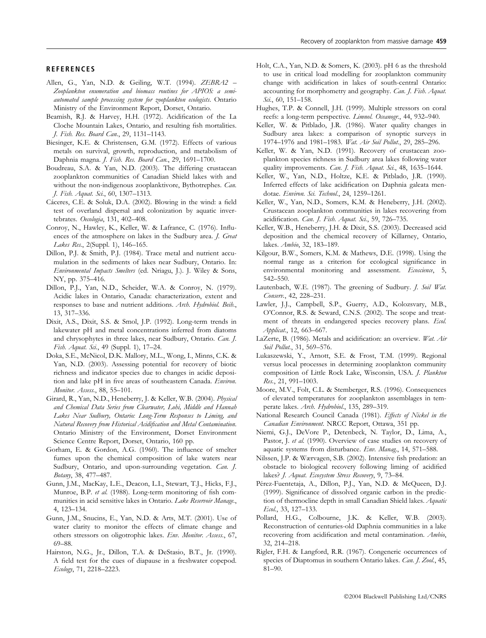#### REFERENCES

- Allen, G., Yan, N.D. & Geiling, W.T. (1994). ZEBRA2 Zooplankton enumeration and biomass routines for APIOS: a semiautomated sample processing system for zooplankton ecologists. Ontario Ministry of the Environment Report, Dorset, Ontario.
- Beamish, R.J. & Harvey, H.H. (1972). Acidification of the La Cloche Mountain Lakes, Ontario, and resulting fish mortalities. J. Fish. Res. Board Can., 29, 1131–1143.
- Biesinger, K.E. & Christensen, G.M. (1972). Effects of various metals on survival, growth, reproduction, and metabolism of Daphnia magna. J. Fish. Res. Board Can., 29, 1691–1700.
- Boudreau, S.A. & Yan, N.D. (2003). The differing crustacean zooplankton communities of Canadian Shield lakes with and without the non-indigenous zooplanktivore, Bythotrephes. Can. J. Fish. Aquat. Sci., 60, 1307–1313.
- Cáceres, C.E. & Soluk, D.A. (2002). Blowing in the wind: a field test of overland dispersal and colonization by aquatic invertebrates. Oecologia, 131, 402–408.
- Conroy, N., Hawley, K., Keller, W. & Lafrance, C. (1976). Influences of the atmosphere on lakes in the Sudbury area. J. Great Lakes Res., 2(Suppl. 1), 146–165.
- Dillon, P.J. & Smith, P.J. (1984). Trace metal and nutrient accumulation in the sediments of lakes near Sudbury, Ontario. In: Environmental Impacts Smelters (ed. Nriagu, J.). J. Wiley & Sons, NY, pp. 375–416.
- Dillon, P.J., Yan, N.D., Scheider, W.A. & Conroy, N. (1979). Acidic lakes in Ontario, Canada: characterization, extent and responses to base and nutrient additions. Arch. Hydrobiol. Beih., 13, 317–336.
- Dixit, A.S., Dixit, S.S. & Smol, J.P. (1992). Long-term trends in lakewater pH and metal concentrations inferred from diatoms and chrysophytes in three lakes, near Sudbury, Ontario. Can. J. Fish. Aquat. Sci., 49 (Suppl. 1), 17–24.
- Doka, S.E., McNicol, D.K. Mallory, M.L., Wong, I., Minns, C.K. & Yan, N.D. (2003). Assessing potential for recovery of biotic richness and indicator species due to changes in acidic deposition and lake pH in five areas of southeastern Canada. Environ. Monitor. Assess., 88, 55–101.
- Girard, R., Yan, N.D., Heneberry, J. & Keller, W.B. (2004). Physical and Chemical Data Series from Clearwater, Lohi, Middle and Hannah Lakes Near Sudbury, Ontario: Long-Term Responses to Liming, and Natural Recovery from Historical Acidification and Metal Contamination. Ontario Ministry of the Environment, Dorset Environment Science Centre Report, Dorset, Ontario, 160 pp.
- Gorham, E. & Gordon, A.G. (1960). The influence of smelter fumes upon the chemical composition of lake waters near Sudbury, Ontario, and upon-surrounding vegetation. Can. J. Botany, 38, 477–487.
- Gunn, J.M., MacKay, L.E., Deacon, L.I., Stewart, T.J., Hicks, F.J., Munroe, B.P. et al. (1988). Long-term monitoring of fish communities in acid sensitive lakes in Ontario. Lake Reservoir Manage., 4, 123–134.
- Gunn, J.M., Snucins, E., Yan, N.D. & Arts, M.T. (2001). Use of water clarity to monitor the effects of climate change and others stressors on oligotrophic lakes. Env. Monitor. Assess., 67, 69–88.
- Hairston, N.G., Jr., Dillon, T.A. & DeStasio, B.T., Jr. (1990). A field test for the cues of diapause in a freshwater copepod. Ecology, 71, 2218–2223.
- Holt, C.A., Yan, N.D. & Somers, K. (2003). pH 6 as the threshold to use in critical load modelling for zooplankton community change with acidification in lakes of south-central Ontario: accounting for morphometry and geography. Can. J. Fish. Aquat. Sci., 60, 151-158.
- Hughes, T.P. & Connell, J.H. (1999). Multiple stressors on coral reefs: a long-term perspective. Limnol. Oceanogr., 44, 932–940.
- Keller, W. & Pitblado, J.R. (1986). Water quality changes in Sudbury area lakes: a comparison of synoptic surveys in 1974–1976 and 1981–1983. Wat. Air Soil Pollut., 29, 285–296.
- Keller, W. & Yan, N.D. (1991). Recovery of crustacean zooplankton species richness in Sudbury area lakes following water quality improvements. Can. J. Fish. Aquat. Sci., 48, 1635–1644.
- Keller, W., Yan, N.D., Holtze, K.E. & Pitblado, J.R. (1990). Inferred effects of lake acidification on Daphnia galeata mendotae. Environ. Sci. Technol., 24, 1259–1261.
- Keller, W., Yan, N.D., Somers, K.M. & Heneberry, J.H. (2002). Crustacean zooplankton communities in lakes recovering from acidification. Can. J. Fish. Aquat. Sci., 59, 726-735.
- Keller, W.B., Heneberry, J.H. & Dixit, S.S. (2003). Decreased acid deposition and the chemical recovery of Killarney, Ontario, lakes. Ambio, 32, 183–189.
- Kilgour, B.W., Somers, K.M. & Mathews, D.E. (1998). Using the normal range as a criterion for ecological significance in environmental monitoring and assessment. *Ecoscience*, 5, 542–550.
- Lautenbach, W.E. (1987). The greening of Sudbury. *J. Soil Wat.* Conserv., 42, 228–231.
- Lawler, J.J., Campbell, S.P., Guerry, A.D., Kolozsvary, M.B., O'Connor, R.S. & Seward, C.N.S. (2002). The scope and treatment of threats in endangered species recovery plans. Ecol. Applicat., 12, 663-667.
- LaZerte, B. (1986). Metals and acidification: an overview. Wat. Air Soil Pollut., 31, 569-576.
- Lukaszewski, Y., Arnott, S.E. & Frost, T.M. (1999). Regional versus local processes in determining zooplankton community composition of Little Rock Lake, Wisconsin, USA. J. Plankton Res., 21, 991–1003.
- Moore, M.V., Folt, C.L. & Stemberger, R.S. (1996). Consequences of elevated temperatures for zooplankton assemblages in temperate lakes. Arch. Hydrobiol., 135, 289–319.
- National Research Council Canada (1981). Effects of Nickel in the Canadian Environment. NRCC Report, Ottawa, 351 pp.
- Niemi, G.J., DeVore P., Detenbeck, N. Taylor, D., Lima, A., Pastor, J. et al. (1990). Overview of case studies on recovery of aquatic systems from disturbance. Env. Manag., 14, 571–588.
- Nilssen, J.P. & Wærvagen, S.B. (2002). Intensive fish predation: an obstacle to biological recovery following liming of acidified lakes? J. Aquat. Ecosystem Stress Recovery, 9, 73-84.
- Pérez-Fuentetaja, A., Dillon, P.J., Yan, N.D. & McQueen, D.J. (1999). Significance of dissolved organic carbon in the prediction of thermocline depth in small Canadian Shield lakes. Aquatic Ecol., 33, 127–133.
- Pollard, H.G., Colbourne, J.K. & Keller, W.B. (2003). Reconstruction of centuries-old Daphnia communities in a lake recovering from acidification and metal contamination. Ambio, 32, 214–218.
- Rigler, F.H. & Langford, R.R. (1967). Congeneric occurrences of species of Diaptomus in southern Ontario lakes. Can. J. Zool., 45, 81–90.